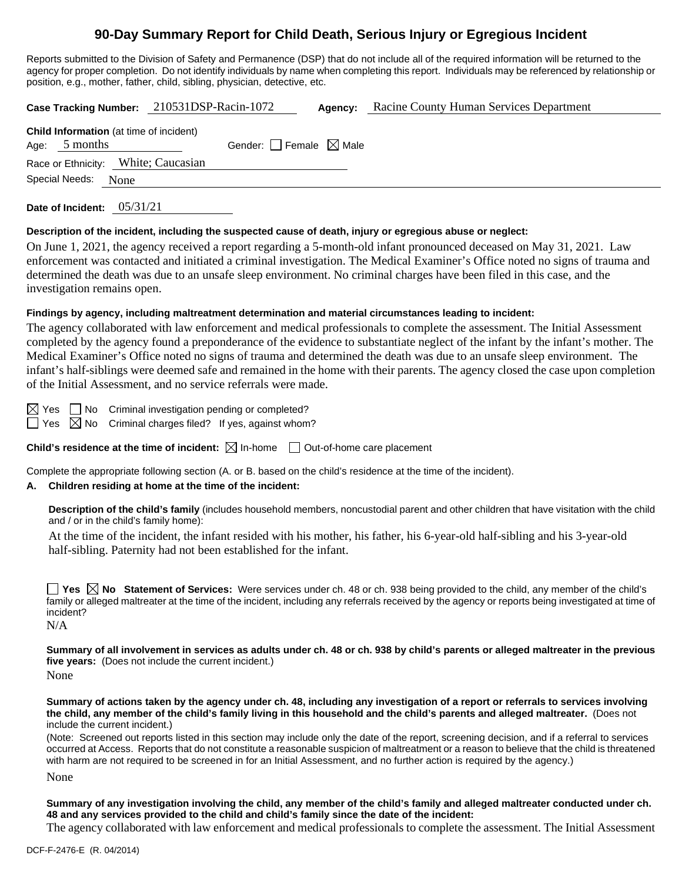# **90-Day Summary Report for Child Death, Serious Injury or Egregious Incident**

Reports submitted to the Division of Safety and Permanence (DSP) that do not include all of the required information will be returned to the agency for proper completion. Do not identify individuals by name when completing this report. Individuals may be referenced by relationship or position, e.g., mother, father, child, sibling, physician, detective, etc.

**Case Tracking Number:** 210531DSP-Racin-1072 **Agency:** Racine County Human Services Department **Child Information** (at time of incident) Age:  $5$  months Gender: Female  $\boxtimes$  Male Race or Ethnicity: White; Caucasian Special Needs: None

**Date of Incident:** 05/31/21

#### **Description of the incident, including the suspected cause of death, injury or egregious abuse or neglect:**

On June 1, 2021, the agency received a report regarding a 5-month-old infant pronounced deceased on May 31, 2021. Law enforcement was contacted and initiated a criminal investigation. The Medical Examiner's Office noted no signs of trauma and determined the death was due to an unsafe sleep environment. No criminal charges have been filed in this case, and the investigation remains open.

### **Findings by agency, including maltreatment determination and material circumstances leading to incident:**

The agency collaborated with law enforcement and medical professionals to complete the assessment. The Initial Assessment completed by the agency found a preponderance of the evidence to substantiate neglect of the infant by the infant's mother. The Medical Examiner's Office noted no signs of trauma and determined the death was due to an unsafe sleep environment. The infant's half-siblings were deemed safe and remained in the home with their parents. The agency closed the case upon completion of the Initial Assessment, and no service referrals were made.

 $\boxtimes$  Yes  $\Box$  No Criminal investigation pending or completed?

 $\Box$  Yes  $\boxtimes$  No Criminal charges filed? If yes, against whom?

**Child's residence at the time of incident:**  $\boxtimes$  In-home  $\Box$  Out-of-home care placement

Complete the appropriate following section (A. or B. based on the child's residence at the time of the incident).

# **A. Children residing at home at the time of the incident:**

**Description of the child's family** (includes household members, noncustodial parent and other children that have visitation with the child and / or in the child's family home):

At the time of the incident, the infant resided with his mother, his father, his 6-year-old half-sibling and his 3-year-old half-sibling. Paternity had not been established for the infant.

**Yes No** Statement of Services: Were services under ch. 48 or ch. 938 being provided to the child, any member of the child's family or alleged maltreater at the time of the incident, including any referrals received by the agency or reports being investigated at time of incident?

N/A

**Summary of all involvement in services as adults under ch. 48 or ch. 938 by child's parents or alleged maltreater in the previous five years:** (Does not include the current incident.)

None

**Summary of actions taken by the agency under ch. 48, including any investigation of a report or referrals to services involving the child, any member of the child's family living in this household and the child's parents and alleged maltreater.** (Does not include the current incident.)

(Note: Screened out reports listed in this section may include only the date of the report, screening decision, and if a referral to services occurred at Access. Reports that do not constitute a reasonable suspicion of maltreatment or a reason to believe that the child is threatened with harm are not required to be screened in for an Initial Assessment, and no further action is required by the agency.)

None

**Summary of any investigation involving the child, any member of the child's family and alleged maltreater conducted under ch. 48 and any services provided to the child and child's family since the date of the incident:**

The agency collaborated with law enforcement and medical professionals to complete the assessment. The Initial Assessment